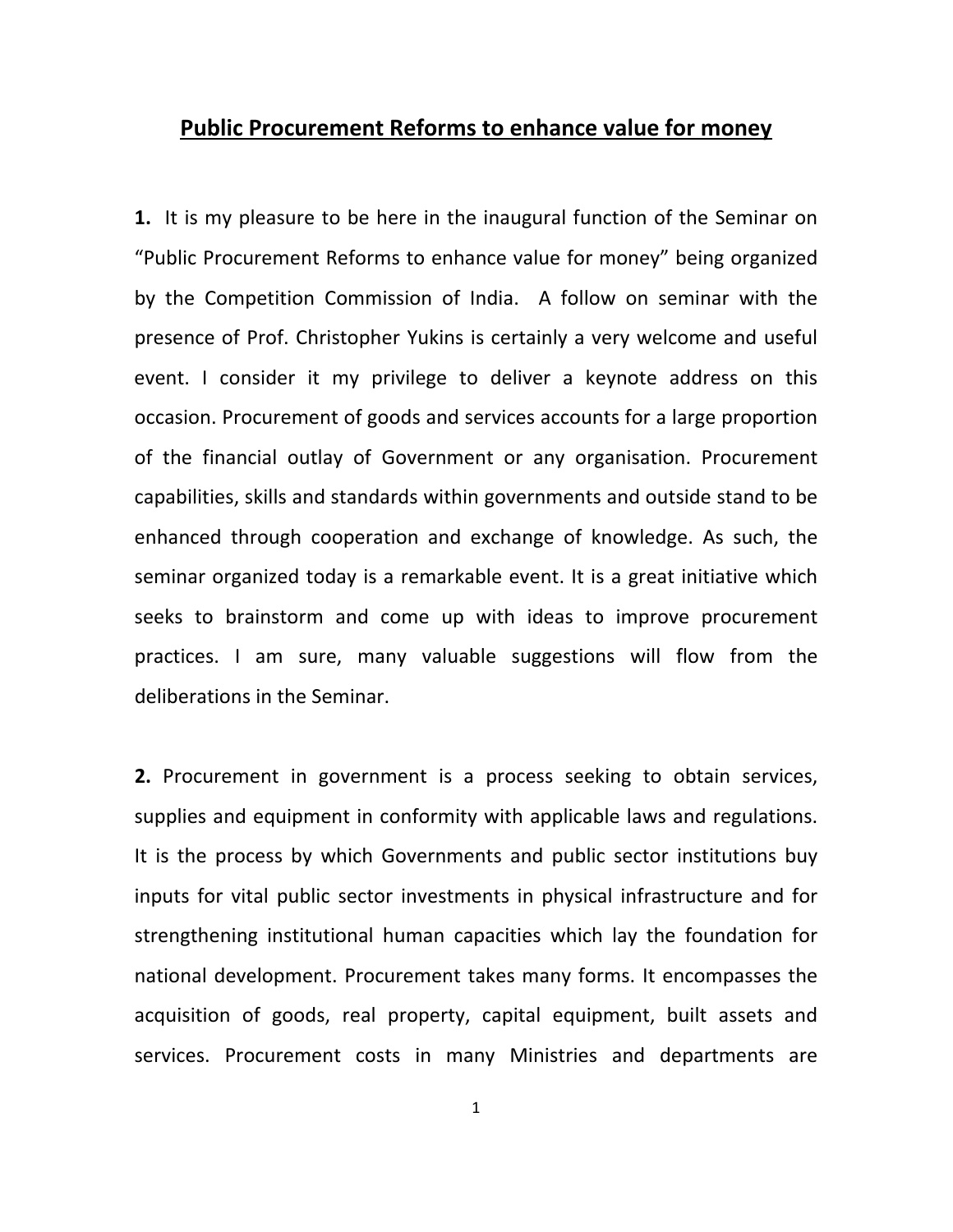# **Public Procurement Reforms to enhance value for money**

**1.** It is my pleasure to be here in the inaugural function of the Seminar on "Public Procurement Reforms to enhance value for money" being organized by the Competition Commission of India. A follow on seminar with the presence of Prof. Christopher Yukins is certainly a very welcome and useful event. I consider it my privilege to deliver a keynote address on this occasion. Procurement of goods and services accounts for a large proportion of the financial outlay of Government or any organisation. Procurement capabilities, skills and standards within governments and outside stand to be enhanced through cooperation and exchange of knowledge. As such, the seminar organized today is a remarkable event. It is a great initiative which seeks to brainstorm and come up with ideas to improve procurement practices. I am sure, many valuable suggestions will flow from the deliberations in the Seminar.

**2.** Procurement in government is a process seeking to obtain services, supplies and equipment in conformity with applicable laws and regulations. It is the process by which Governments and public sector institutions buy inputs for vital public sector investments in physical infrastructure and for strengthening institutional human capacities which lay the foundation for national development. Procurement takes many forms. It encompasses the acquisition of goods, real property, capital equipment, built assets and services. Procurement costs in many Ministries and departments are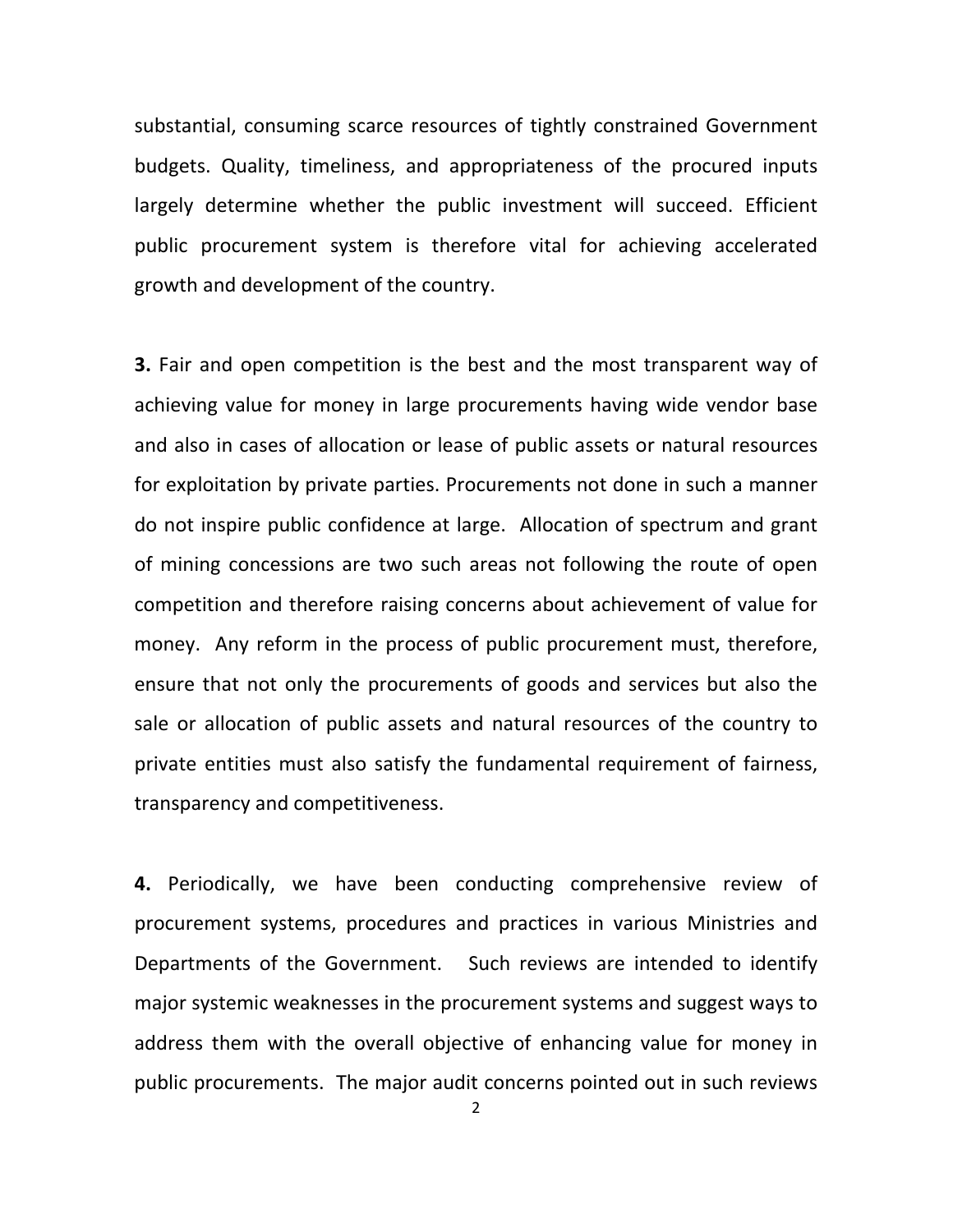substantial, consuming scarce resources of tightly constrained Government budgets. Quality, timeliness, and appropriateness of the procured inputs largely determine whether the public investment will succeed. Efficient public procurement system is therefore vital for achieving accelerated growth and development of the country.

**3.** Fair and open competition is the best and the most transparent way of achieving value for money in large procurements having wide vendor base and also in cases of allocation or lease of public assets or natural resources for exploitation by private parties. Procurements not done in such a manner do not inspire public confidence at large. Allocation of spectrum and grant of mining concessions are two such areas not following the route of open competition and therefore raising concerns about achievement of value for money. Any reform in the process of public procurement must, therefore, ensure that not only the procurements of goods and services but also the sale or allocation of public assets and natural resources of the country to private entities must also satisfy the fundamental requirement of fairness, transparency and competitiveness.

**4.** Periodically, we have been conducting comprehensive review of procurement systems, procedures and practices in various Ministries and Departments of the Government. Such reviews are intended to identify major systemic weaknesses in the procurement systems and suggest ways to address them with the overall objective of enhancing value for money in public procurements. The major audit concerns pointed out in such reviews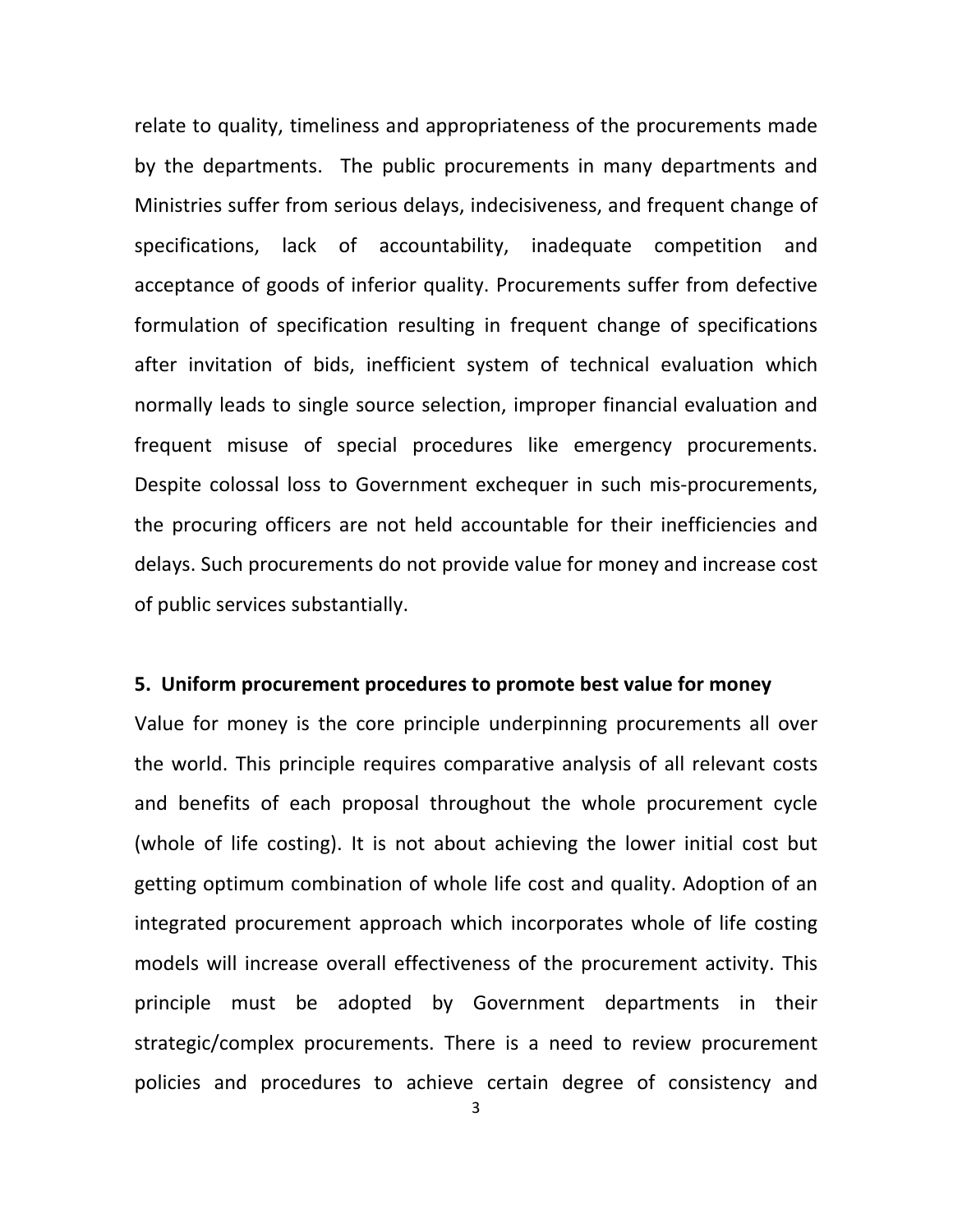relate to quality, timeliness and appropriateness of the procurements made by the departments. The public procurements in many departments and Ministries suffer from serious delays, indecisiveness, and frequent change of specifications, lack of accountability, inadequate competition and acceptance of goods of inferior quality. Procurements suffer from defective formulation of specification resulting in frequent change of specifications after invitation of bids, inefficient system of technical evaluation which normally leads to single source selection, improper financial evaluation and frequent misuse of special procedures like emergency procurements. Despite colossal loss to Government exchequer in such mis‐procurements, the procuring officers are not held accountable for their inefficiencies and delays. Such procurements do not provide value for money and increase cost of public services substantially.

# **5. Uniform procurement procedures to promote best value for money**

Value for money is the core principle underpinning procurements all over the world. This principle requires comparative analysis of all relevant costs and benefits of each proposal throughout the whole procurement cycle (whole of life costing). It is not about achieving the lower initial cost but getting optimum combination of whole life cost and quality. Adoption of an integrated procurement approach which incorporates whole of life costing models will increase overall effectiveness of the procurement activity. This principle must be adopted by Government departments in their strategic/complex procurements. There is a need to review procurement policies and procedures to achieve certain degree of consistency and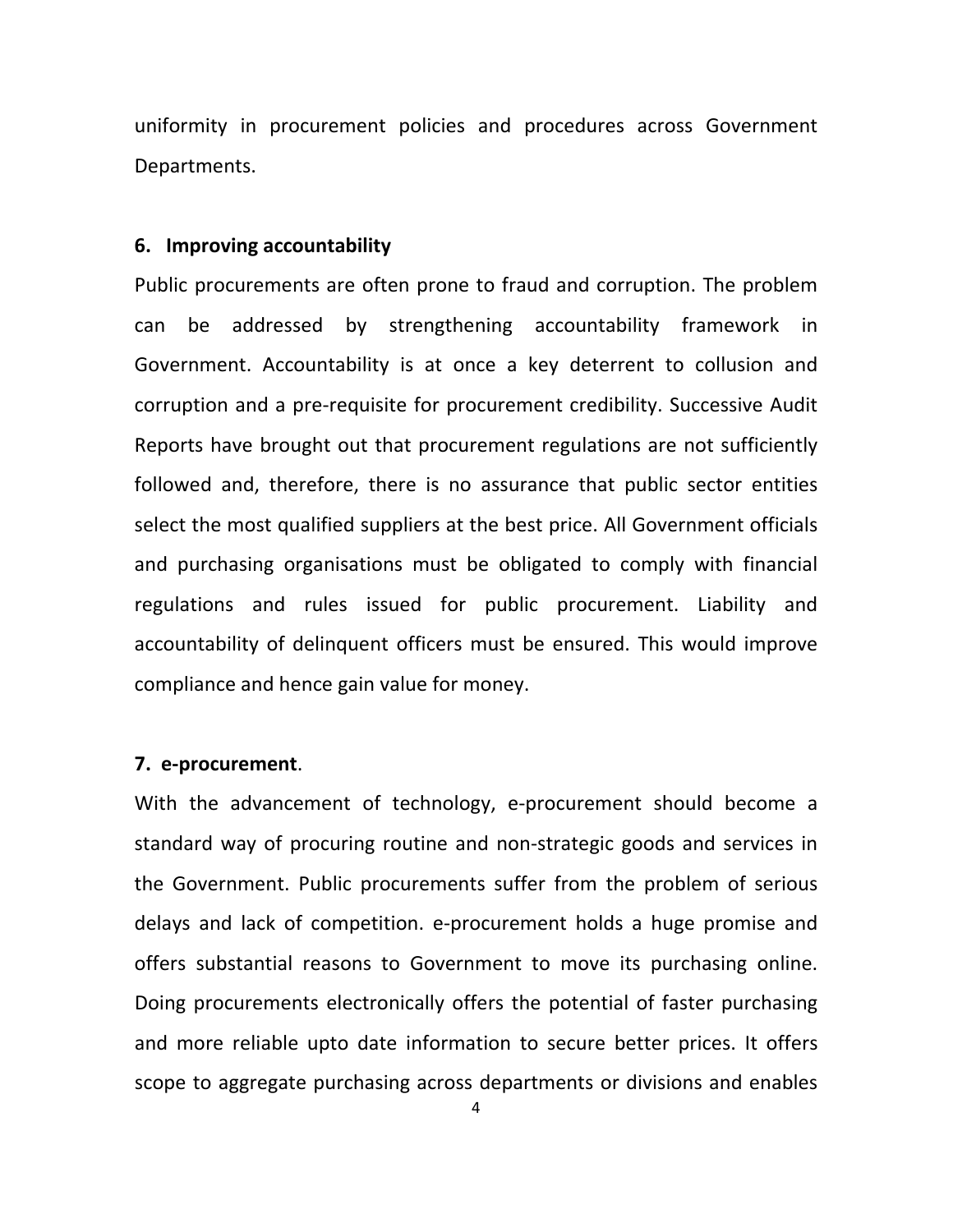uniformity in procurement policies and procedures across Government Departments.

### **6. Improving accountability**

Public procurements are often prone to fraud and corruption. The problem can be addressed by strengthening accountability framework in Government. Accountability is at once a key deterrent to collusion and corruption and a pre‐requisite for procurement credibility. Successive Audit Reports have brought out that procurement regulations are not sufficiently followed and, therefore, there is no assurance that public sector entities select the most qualified suppliers at the best price. All Government officials and purchasing organisations must be obligated to comply with financial regulations and rules issued for public procurement. Liability and accountability of delinquent officers must be ensured. This would improve compliance and hence gain value for money.

# **7. e‐procurement**.

With the advancement of technology, e-procurement should become a standard way of procuring routine and non‐strategic goods and services in the Government. Public procurements suffer from the problem of serious delays and lack of competition. e‐procurement holds a huge promise and offers substantial reasons to Government to move its purchasing online. Doing procurements electronically offers the potential of faster purchasing and more reliable upto date information to secure better prices. It offers scope to aggregate purchasing across departments or divisions and enables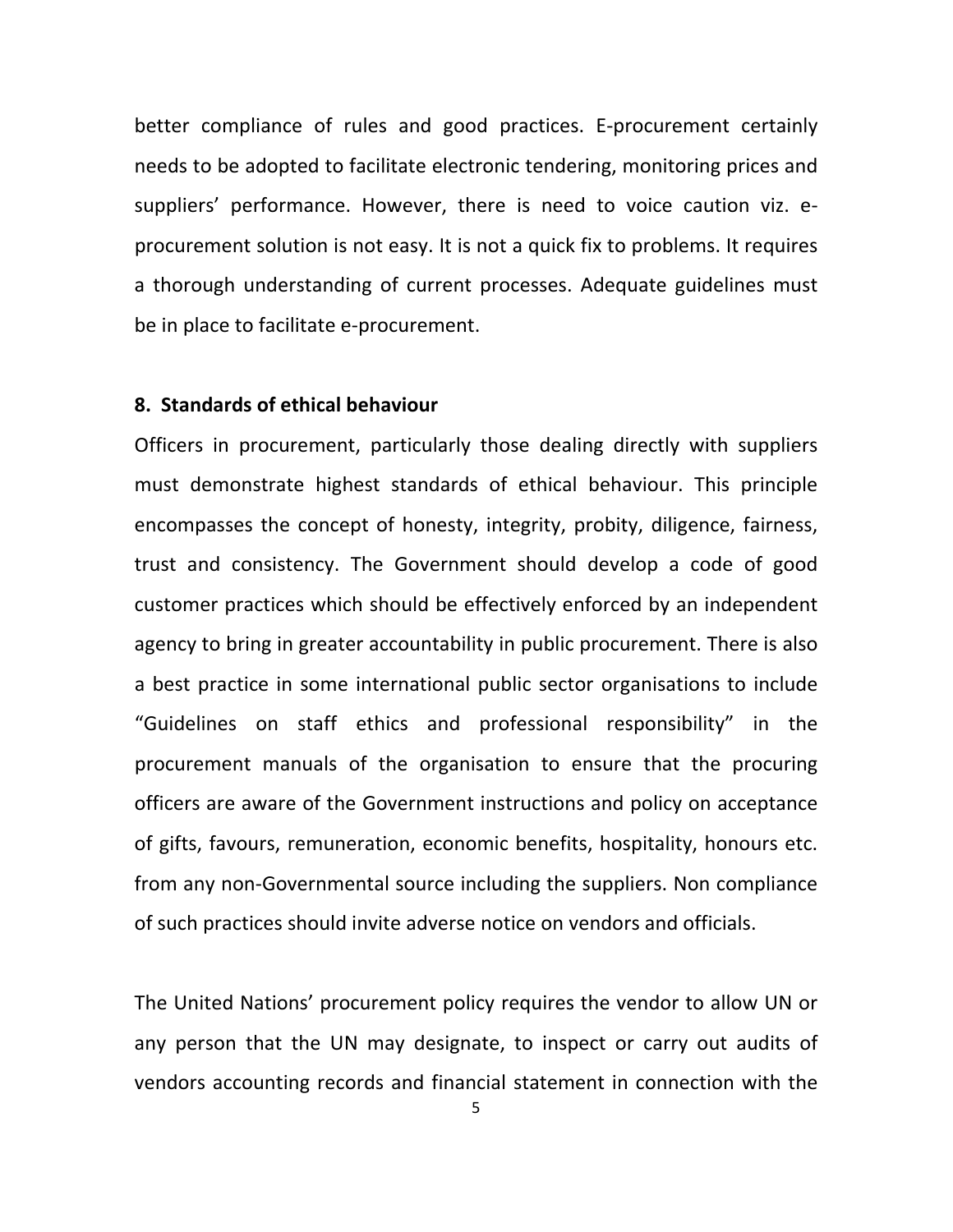better compliance of rules and good practices. E‐procurement certainly needs to be adopted to facilitate electronic tendering, monitoring prices and suppliers' performance. However, there is need to voice caution viz. eprocurement solution is not easy. It is not a quick fix to problems. It requires a thorough understanding of current processes. Adequate guidelines must be in place to facilitate e‐procurement.

# **8. Standards of ethical behaviour**

Officers in procurement, particularly those dealing directly with suppliers must demonstrate highest standards of ethical behaviour. This principle encompasses the concept of honesty, integrity, probity, diligence, fairness, trust and consistency. The Government should develop a code of good customer practices which should be effectively enforced by an independent agency to bring in greater accountability in public procurement. There is also a best practice in some international public sector organisations to include "Guidelines on staff ethics and professional responsibility" in the procurement manuals of the organisation to ensure that the procuring officers are aware of the Government instructions and policy on acceptance of gifts, favours, remuneration, economic benefits, hospitality, honours etc. from any non‐Governmental source including the suppliers. Non compliance of such practices should invite adverse notice on vendors and officials.

The United Nations' procurement policy requires the vendor to allow UN or any person that the UN may designate, to inspect or carry out audits of vendors accounting records and financial statement in connection with the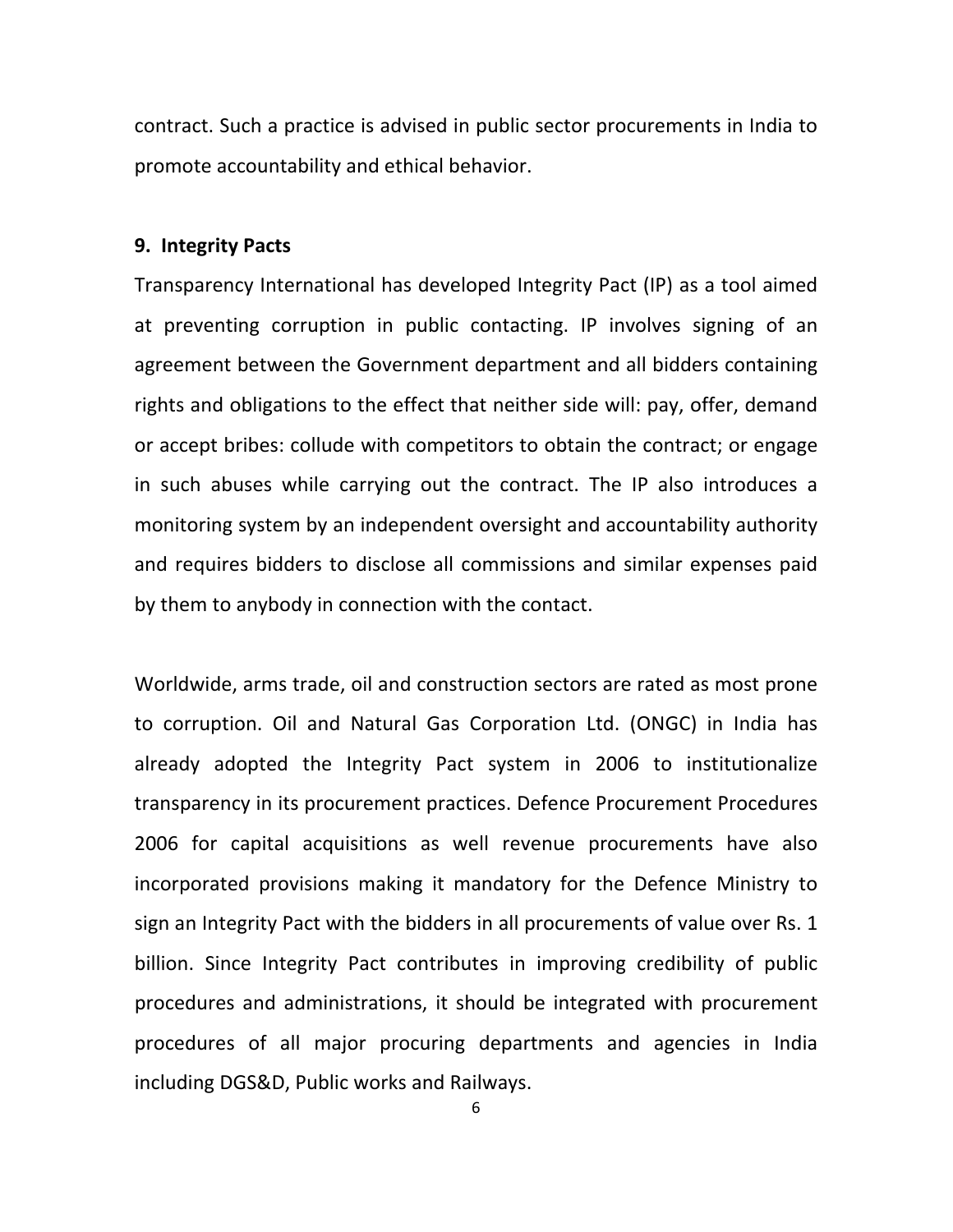contract. Such a practice is advised in public sector procurements in India to promote accountability and ethical behavior.

#### **9. Integrity Pacts**

Transparency International has developed Integrity Pact (IP) as a tool aimed at preventing corruption in public contacting. IP involves signing of an agreement between the Government department and all bidders containing rights and obligations to the effect that neither side will: pay, offer, demand or accept bribes: collude with competitors to obtain the contract; or engage in such abuses while carrying out the contract. The IP also introduces a monitoring system by an independent oversight and accountability authority and requires bidders to disclose all commissions and similar expenses paid by them to anybody in connection with the contact.

Worldwide, arms trade, oil and construction sectors are rated as most prone to corruption. Oil and Natural Gas Corporation Ltd. (ONGC) in India has already adopted the Integrity Pact system in 2006 to institutionalize transparency in its procurement practices. Defence Procurement Procedures 2006 for capital acquisitions as well revenue procurements have also incorporated provisions making it mandatory for the Defence Ministry to sign an Integrity Pact with the bidders in all procurements of value over Rs. 1 billion. Since Integrity Pact contributes in improving credibility of public procedures and administrations, it should be integrated with procurement procedures of all major procuring departments and agencies in India including DGS&D, Public works and Railways.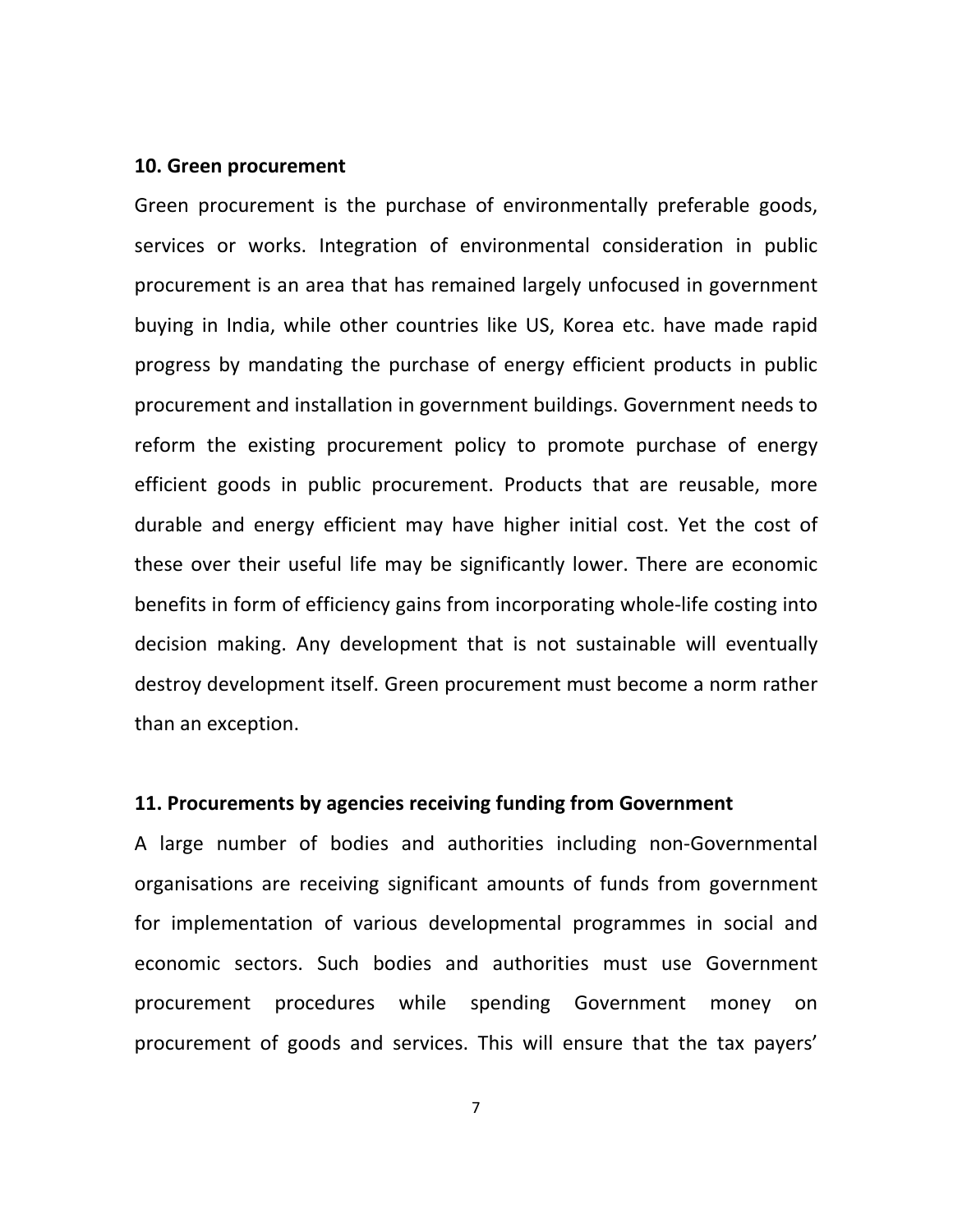#### **10. Green procurement**

Green procurement is the purchase of environmentally preferable goods, services or works. Integration of environmental consideration in public procurement is an area that has remained largely unfocused in government buying in India, while other countries like US, Korea etc. have made rapid progress by mandating the purchase of energy efficient products in public procurement and installation in government buildings. Government needs to reform the existing procurement policy to promote purchase of energy efficient goods in public procurement. Products that are reusable, more durable and energy efficient may have higher initial cost. Yet the cost of these over their useful life may be significantly lower. There are economic benefits in form of efficiency gains from incorporating whole‐life costing into decision making. Any development that is not sustainable will eventually destroy development itself. Green procurement must become a norm rather than an exception.

# **11. Procurements by agencies receiving funding from Government**

A large number of bodies and authorities including non‐Governmental organisations are receiving significant amounts of funds from government for implementation of various developmental programmes in social and economic sectors. Such bodies and authorities must use Government procurement procedures while spending Government money on procurement of goods and services. This will ensure that the tax payers'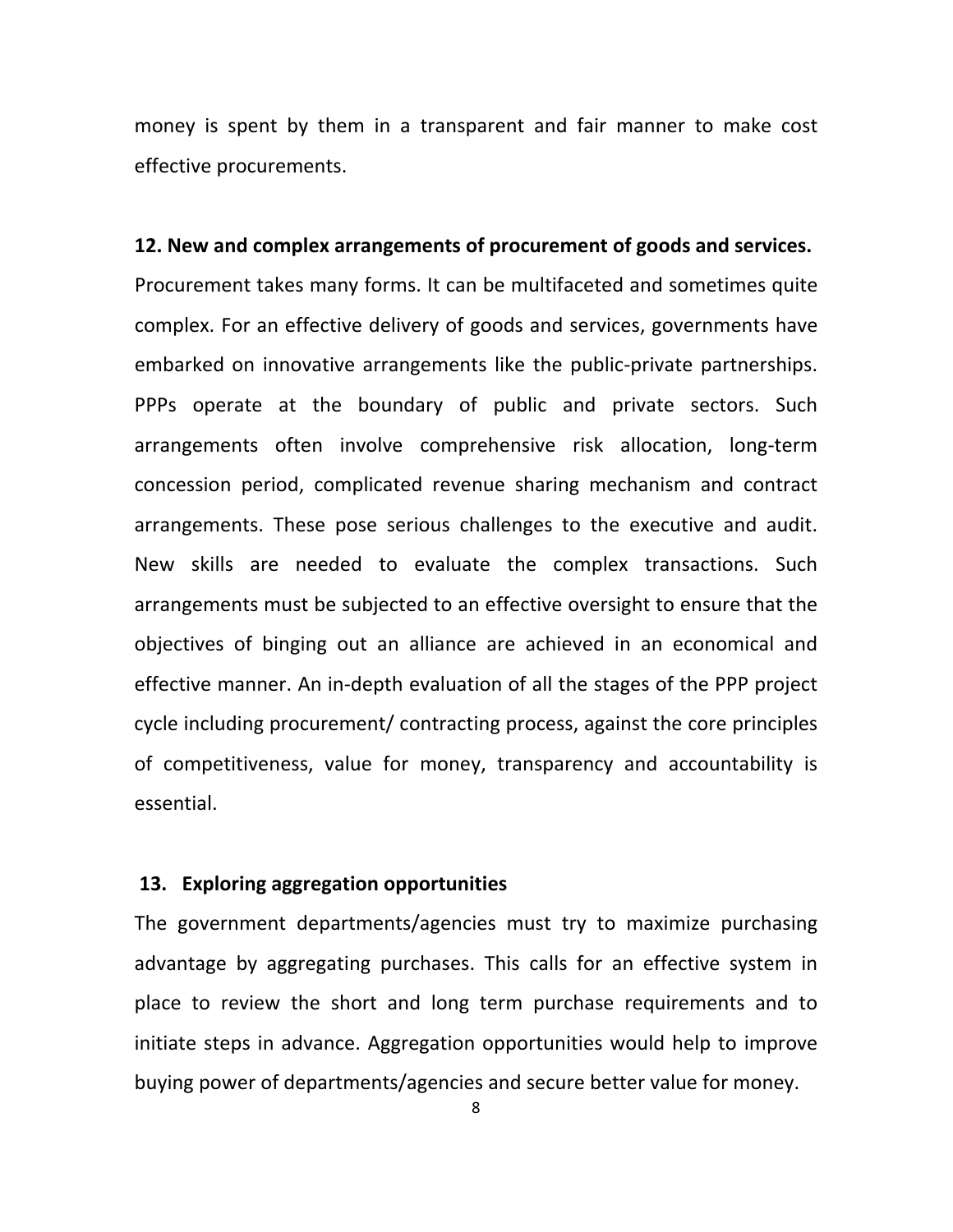money is spent by them in a transparent and fair manner to make cost effective procurements.

# **12. New and complex arrangements of procurement of goods and services.**

Procurement takes many forms. It can be multifaceted and sometimes quite complex. For an effective delivery of goods and services, governments have embarked on innovative arrangements like the public‐private partnerships. PPPs operate at the boundary of public and private sectors. Such arrangements often involve comprehensive risk allocation, long‐term concession period, complicated revenue sharing mechanism and contract arrangements. These pose serious challenges to the executive and audit. New skills are needed to evaluate the complex transactions. Such arrangements must be subjected to an effective oversight to ensure that the objectives of binging out an alliance are achieved in an economical and effective manner. An in‐depth evaluation of all the stages of the PPP project cycle including procurement/ contracting process, against the core principles of competitiveness, value for money, transparency and accountability is essential.

# **13. Exploring aggregation opportunities**

The government departments/agencies must try to maximize purchasing advantage by aggregating purchases. This calls for an effective system in place to review the short and long term purchase requirements and to initiate steps in advance. Aggregation opportunities would help to improve buying power of departments/agencies and secure better value for money.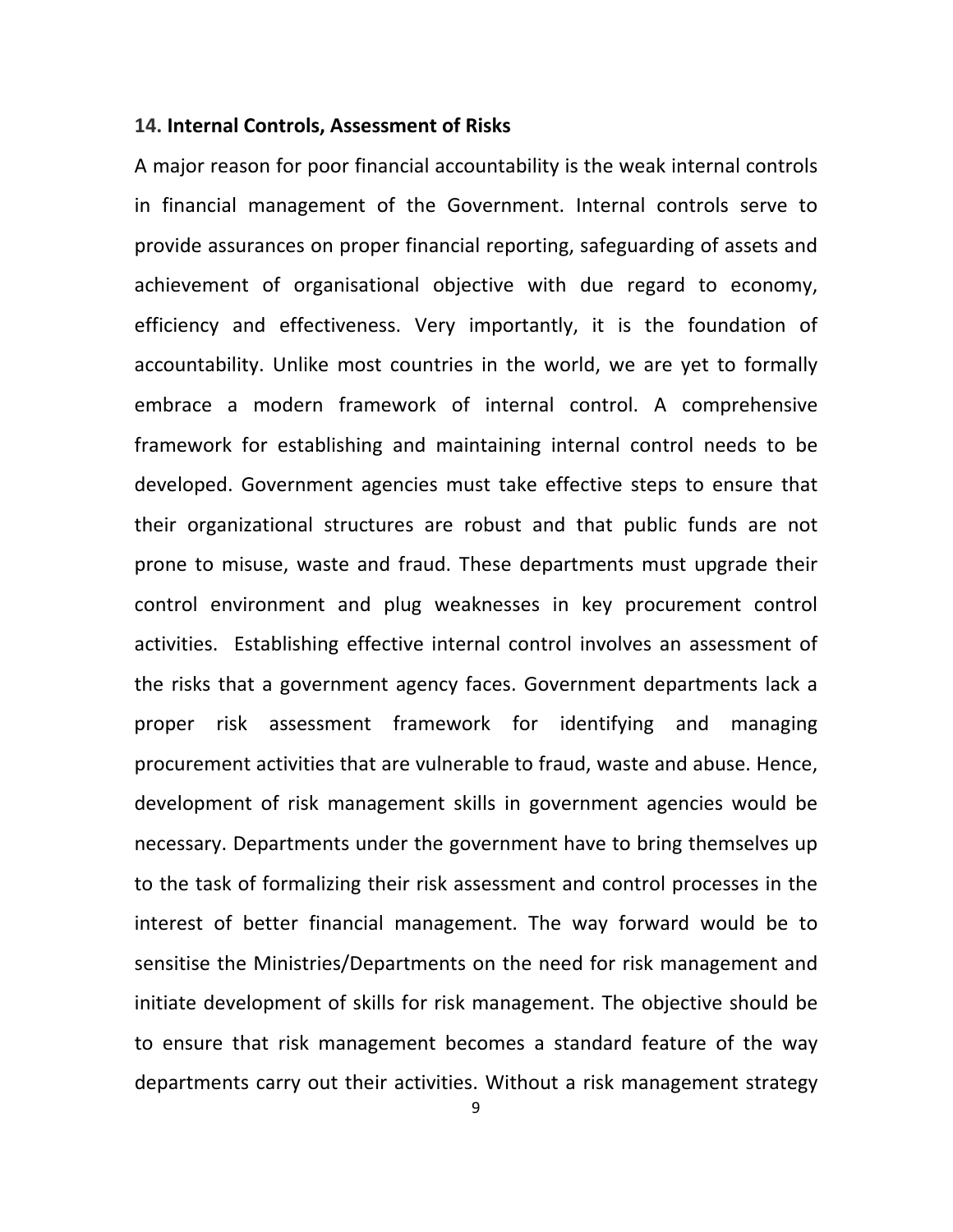# **14. Internal Controls, Assessment of Risks**

A major reason for poor financial accountability is the weak internal controls in financial management of the Government. Internal controls serve to provide assurances on proper financial reporting, safeguarding of assets and achievement of organisational objective with due regard to economy, efficiency and effectiveness. Very importantly, it is the foundation of accountability. Unlike most countries in the world, we are yet to formally embrace a modern framework of internal control. A comprehensive framework for establishing and maintaining internal control needs to be developed. Government agencies must take effective steps to ensure that their organizational structures are robust and that public funds are not prone to misuse, waste and fraud. These departments must upgrade their control environment and plug weaknesses in key procurement control activities. Establishing effective internal control involves an assessment of the risks that a government agency faces. Government departments lack a proper risk assessment framework for identifying and managing procurement activities that are vulnerable to fraud, waste and abuse. Hence, development of risk management skills in government agencies would be necessary. Departments under the government have to bring themselves up to the task of formalizing their risk assessment and control processes in the interest of better financial management. The way forward would be to sensitise the Ministries/Departments on the need for risk management and initiate development of skills for risk management. The objective should be to ensure that risk management becomes a standard feature of the way departments carry out their activities. Without a risk management strategy